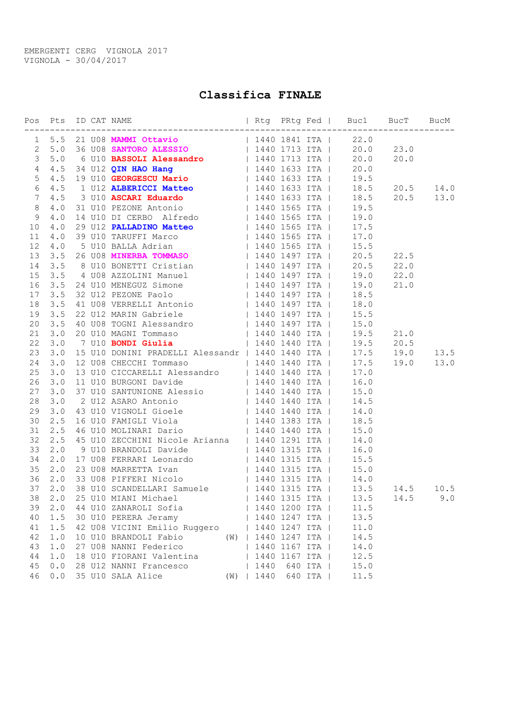EMERGENTI CERG VIGNOLA 2017 VIGNOLA - 30/04/2017

## Classifica FINALE

| 1 5.5 21 U08 MAMMI Ottavio (1440 1841 ITA   22.0)<br>2 5.0 36 U08 SANTORO ALESSIO (1440 1713 ITA   20.0 23.0)<br>3 5.0 6 U10 BASSOLI Alessandro (1440 1713 ITA   20.0 20.0<br>4 4.5 34 U12 QIN HAO Hang (1440 1633 ITA   20.0 20.0)<br><br>1 U12 ALBERICCI Matteo (1940 1633 ITA (18.5 20.5 14.0)<br>64.5 |  |
|-----------------------------------------------------------------------------------------------------------------------------------------------------------------------------------------------------------------------------------------------------------------------------------------------------------|--|
|                                                                                                                                                                                                                                                                                                           |  |
|                                                                                                                                                                                                                                                                                                           |  |
|                                                                                                                                                                                                                                                                                                           |  |
|                                                                                                                                                                                                                                                                                                           |  |
|                                                                                                                                                                                                                                                                                                           |  |
|                                                                                                                                                                                                                                                                                                           |  |
| 74.5                                                                                                                                                                                                                                                                                                      |  |
| 8                                                                                                                                                                                                                                                                                                         |  |
| 9                                                                                                                                                                                                                                                                                                         |  |
| 4.5 3 U10 <b>ASCARI Eduardo</b><br>4.5 3 U10 <b>ASCARI Eduardo</b><br>4.0 31 U10 PEZONE Antonio<br>4.0 14 U10 DI CERBO Alfredo<br>4.0 29 U12 <b>PALLADINO Matteo</b><br>4.0 39 U10 TARUFFI Marco<br>4.0 39 U10 TARUFFI Marco<br>4.0 5 U10 BALLA Adrian<br>4.0<br>10                                       |  |
| 11                                                                                                                                                                                                                                                                                                        |  |
| 12                                                                                                                                                                                                                                                                                                        |  |
| 13                                                                                                                                                                                                                                                                                                        |  |
| 14 3.5 8 U10 BONETTI Cristian (1440 1497 ITA (20.5 22.0                                                                                                                                                                                                                                                   |  |
|                                                                                                                                                                                                                                                                                                           |  |
|                                                                                                                                                                                                                                                                                                           |  |
|                                                                                                                                                                                                                                                                                                           |  |
|                                                                                                                                                                                                                                                                                                           |  |
| 14 3.5 4 008 AZZOLINI Manuel<br>15 3.5 4 008 AZZOLINI Manuel<br>16 3.5 24 010 MENEGUZ Simone<br>17 3.5 32 012 PEZONE Paolo<br>17 3.5 32 012 PEZONE Paolo<br>17 3.5 32 012 PEZONE Paolo<br>18 3.5 41 008 VERRELLI Antonio<br>19 3.5 41 008 VE                                                              |  |
|                                                                                                                                                                                                                                                                                                           |  |
|                                                                                                                                                                                                                                                                                                           |  |
|                                                                                                                                                                                                                                                                                                           |  |
| 15 U10 DONINI PRADELLI Alessandr   1440 1440 ITA   17.5 19.0 13.5<br>23<br>3.0                                                                                                                                                                                                                            |  |
| 12 U08 CHECCHI Tommaso (1440 1440 ITA   17.5 19.0 13.0<br>24<br>3.0                                                                                                                                                                                                                                       |  |
| 13 U10 CICCARELLI Alessandro   1440 1440 ITA   17.0<br>25<br>3.0                                                                                                                                                                                                                                          |  |
| 26                                                                                                                                                                                                                                                                                                        |  |
| 3.0 11 U10 BURGONI Davide<br>3.0 37 U10 SMTUNIONE Alessio   1440 1440 ITA   16.0<br>3.0 2 U12 ASARO Antonio   1440 1440 ITA   15.0<br>3.0 43 U10 VIGNOLI Gioele   1440 1440 ITA   14.5<br>2.5 16 U10 FAMIGLI Viola   1440 1383 ITA   1<br>27                                                              |  |
| 28                                                                                                                                                                                                                                                                                                        |  |
| 29                                                                                                                                                                                                                                                                                                        |  |
| 30                                                                                                                                                                                                                                                                                                        |  |
| 31                                                                                                                                                                                                                                                                                                        |  |
| 2.5 45 U10 ZECCHINI Nicole Arianna   1440 1291 ITA   14.0<br>32                                                                                                                                                                                                                                           |  |
| 2.0 9 U10 BRANDOLI Davide   1440 1315 ITA   16.0<br>33                                                                                                                                                                                                                                                    |  |
| 34<br>2.0 17 U08 FERRARI Leonardo   1440 1315 ITA   15.5                                                                                                                                                                                                                                                  |  |
| 35 2.0 23 U08 MARRETTA Ivan (1440 1315 ITA (15.0)<br>36 2.0 33 U08 PIFFERI Nicolo (1440 1315 ITA (14.0)<br>37 2.0 38 U10 SCANDELLARI Samuele (1440 1315 ITA (13.5 14.5 10.5)<br>38 2.0 25 U10 MIANI Michael (1440 1315 ITA (13.5 14.5 1                                                                   |  |
|                                                                                                                                                                                                                                                                                                           |  |
|                                                                                                                                                                                                                                                                                                           |  |
|                                                                                                                                                                                                                                                                                                           |  |
|                                                                                                                                                                                                                                                                                                           |  |
| 1.5 30 U10 PERERA Jeramy   1440 1247 ITA  <br>40<br>13.5                                                                                                                                                                                                                                                  |  |
| 42 U08 VICINI Emilio Ruggero   1440 1247 ITA  <br>41<br>1.5<br>11.0                                                                                                                                                                                                                                       |  |
| 10 U10 BRANDOLI Fabio (W)   1440 1247 ITA  <br>42<br>1.0<br>14.5                                                                                                                                                                                                                                          |  |
| 43<br>1.0<br>27 U08 NANNI Federico<br>1440 1167 ITA  <br>14.0                                                                                                                                                                                                                                             |  |
| $4\,4$<br>1.0<br>18 U10 FIORANI Valentina<br>  1440 1167 ITA  <br>12.5                                                                                                                                                                                                                                    |  |
| 45<br>0.0<br>28 U12 NANNI Francesco<br>1440<br>640 ITA  <br>15.0                                                                                                                                                                                                                                          |  |
| 46<br>0.0<br>35 U10 SALA Alice<br>(W)   1440 640 ITA  <br>11.5                                                                                                                                                                                                                                            |  |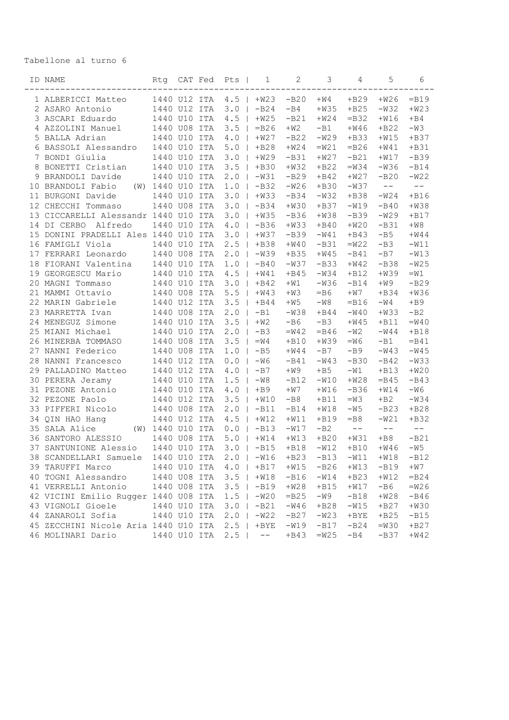## Tabellone al turno 6

|    | ID NAME                                                   | Rtg              | CAT Fed |     | Pts             | 1                             | 2                | 3                | 4               | 5                | 6       |
|----|-----------------------------------------------------------|------------------|---------|-----|-----------------|-------------------------------|------------------|------------------|-----------------|------------------|---------|
|    | 1 ALBERICCI Matteo                                        | 1440 U12 ITA     |         |     | 4.5             | $+W23$                        | $-B20$           | $+W4$            | $+B29$          | $+W26$           | $=$ B19 |
|    | 2 ASARO Antonio                                           | 1440 U12 ITA     |         |     | 3.0             | $-B24$                        | $-B4$            | $+W35$           | $+B25$          | $-W32$           | $+W23$  |
|    | 3 ASCARI Eduardo                                          | 1440 U10 ITA     |         |     | 4.5             | $+W25$                        | $-B21$           | $+W24$           | $=$ B32         | $+W16$           | $+B4$   |
|    | 4 AZZOLINI Manuel                                         | 1440 U08 ITA     |         |     | 3.5             | $=$ B26                       | $+W2$            | $-B1$            | $+W46$          | $+B22$           | $-W3$   |
|    | 5 BALLA Adrian                                            | 1440             | U10     | ITA | $4.0$           | $+W27$                        | $-B22$           | $-W29$           | $+B33$          | $+W15$           | $+B37$  |
|    | 6 BASSOLI Alessandro                                      | 1440 U10 ITA     |         |     | 5.0             | $+B28$                        | $+W24$           | $=W21$           | $=$ B26         | $+W41$           | $+B31$  |
|    | 7 BONDI Giulia                                            | 1440 U10 ITA     |         |     | 3.0             | $+W29$                        | $-B31$           | $+W27$           | $-B21$          | $+W17$           | $-B39$  |
|    | 8 BONETTI Cristian                                        | 1440 U10 ITA     |         |     | 3.5             | $+B30$                        | $+W32$           | $+B22$           | $=W34$          | $-W36$           | $-B14$  |
|    | 9 BRANDOLI Davide                                         | 1440 U10 ITA     |         |     | 2.0             | $-W31$                        | $-B29$           | $+B42$           | $+W27$          | $-B20$           | $-W22$  |
|    | 10 BRANDOLI Fabio                                         | (W) 1440 U10 ITA |         |     | 1.0             | $-B32$                        | $-W26$           | $+B30$           | $-W37$          | $-\,-$           | $--$    |
|    | 11 BURGONI Davide                                         | 1440 U10 ITA     |         |     | 3.0             | $+W33$                        | $-B34$           | $-W32$           | $+B38$          | $-W24$           | $+B16$  |
|    | 12 CHECCHI Tommaso                                        | 1440 U08 ITA     |         |     | 3.0             | $-B34$                        | $+W30$           | $+B37$           | $-W19$          | $-B40$           | $+W38$  |
|    | 13 CICCARELLI Alessandr 1440 U10 ITA                      |                  |         |     | 3.0             | $+W35$                        | $-B36$           | $+W38$           | $-B39$          | $-W29$           | $+B17$  |
|    | 14 DI CERBO<br>Alfredo                                    | 1440 U10 ITA     |         |     | 4.0             | $-B36$                        | $+W33$           | $+B40$           | $+W20$          | $-B31$           | $+W8$   |
|    | 15 DONINI PRADELLI Ales 1440 U10 ITA                      |                  |         |     | 3.0             | $+W37$                        | $-B39$           | $-W41$           | $+B43$          | $-B5$            | $+W44$  |
|    | 16 FAMIGLI Viola                                          | 1440 U10 ITA     |         |     | 2.5             | $+B38$                        | $+W40$           | $-B31$           | $=W22$          | $-B3$            | $-W11$  |
|    | 17 FERRARI Leonardo                                       | 1440 U08 ITA     |         |     | 2.0             | $-W39$                        | $+B35$           | $+W45$           | $-B41$          | $-B7$            | $-W13$  |
|    | 18 FIORANI Valentina                                      | 1440 U10 ITA     |         |     | 1.0             | $-B40$                        | $-W37$           | $-B33$           | $+W42$          | $-B38$           | $-W25$  |
|    | 19 GEORGESCU Mario                                        | 1440 U10 ITA     |         |     | 4.5             | $+W41$                        | $+B45$           | $-W34$           | $+B12$          | $+W39$           | $=W1$   |
|    | 20 MAGNI Tommaso                                          | 1440 U10 ITA     |         |     | 3.0             | $+B42$                        | $+W1$            | $-W36$           | $-B14$          | $+W9$            | $-B29$  |
|    | 21 MAMMI Ottavio                                          | 1440 U08 ITA     |         |     | 5.5             | $+W43$                        | $+W3$            | $-B6$            | $+W7$           | $+B34$           | $+W36$  |
|    | 22 MARIN Gabriele                                         | 1440 U12 ITA     |         |     | 3.5             | $+B44$                        | $+W5$            | $-W8$            | $=$ B16         | $-W4$            | $+B9$   |
|    | 23 MARRETTA Ivan                                          | 1440 U08 ITA     |         |     | 2.0             | $-B1$                         | $-W38$           | $+B44$           | $-W40$          | $+W33$           | $-B2$   |
|    | 24 MENEGUZ Simone                                         | 1440 U10 ITA     |         |     | 3.5             | $+W2$                         | $-B6$            | $-B3$            | $+W45$          | $+B11$           | $=W40$  |
|    | 25 MIANI Michael                                          | 1440 U10 ITA     |         |     | 2.0             | $-B3$                         | $=W42$           | $=$ B46          | $-W2$           | $-W44$           | $+B18$  |
|    | 26 MINERBA TOMMASO                                        | 1440 U08 ITA     |         |     | 3.5             | $=W4$                         | $+B10$           | $+W39$           | $-W6$           | $-B1$            | $=$ B41 |
| 27 | NANNI Federico                                            | 1440 U08 ITA     |         |     | 1.0             | $-B5$                         | $+W44$           | $-B7$            | $-B9$           | $-W43$           | $-W45$  |
|    | 28 NANNI Francesco                                        | 1440 U12 ITA     |         |     | $0.0$           | $-W6$                         | $-B41$           | $-W43$           | $-B30$          | $-B42$           | $-W33$  |
|    | 29 PALLADINO Matteo                                       | 1440 U12 ITA     |         |     | 4.0             | $-B7$                         | $+W9$            | $+B5$            | $-W1$           | $+B13$           | $+W20$  |
|    | 30 PERERA Jeramy                                          | 1440 U10 ITA     |         |     | 1.5             | $-W8$                         | $-B12$           | $-W10$           | $+W28$          | $=$ B45          | $-B43$  |
|    | 31 PEZONE Antonio                                         | 1440 U10 ITA     |         |     | $4.0$           | $+B9$                         | $+W7$            | $+W16$           | $-B36$          | $+W14$           | $-W6$   |
|    | 32 PEZONE Paolo                                           | 1440 U12 ITA     |         |     | 3.5             | $+W10$                        | $-B8$            | $+B11$           | $=$ M $=$       | $+B2$            | $-W34$  |
|    | 33 PIFFERI Nicolo                                         | 1440 U08 ITA     |         |     | 2.0             | $-B11$                        | $-B14$           | $+W18$           | $-W5$           | $-B23$           | $+B28$  |
|    | 34 QIN HAO Hang                                           | 1440 U12 ITA     |         |     | 4.5             | $+W12$                        | $+W11$           | $+B19$           | $=$ B8          | $-W21$           | $+B32$  |
| 35 | SALA Alice                                                | (W) 1440 U10 ITA |         |     | 0.0             | $-B13$                        | $-W17$           | $-B2$            | $-\,-$          | $-\,-$           | $-$     |
|    | 36 SANTORO ALESSIO                                        | 1440 U08 ITA     |         |     | $5.0$           | $+W14$                        | $+W13$           | $+B20$           | $+W31$          | $+B8$            | $-B21$  |
| 37 | SANTUNIONE Alessio                                        | 1440 U10 ITA     |         |     | 3.0             | $-B15$                        | $+B18$           | $-W12$           | $+B10$          | $+W46$           | $-W5$   |
|    | 38 SCANDELLARI Samuele 1440 U10 ITA                       |                  |         |     |                 | $2.0$   $-W16$ +B23 -B13 -W11 |                  |                  |                 | $+W18$           | $-B12$  |
|    | 39 TARUFFI Marco                                          | 1440 U10 ITA     |         |     |                 | $4.0 + B17$                   | $+W15$           | $-B26$           | $+W13$          | $-B19$           | $+W7$   |
|    | 40 TOGNI Alessandro                                       | 1440 U08 ITA     |         |     | $3.5$           | $+W18$                        | $-B16$           | $-W14$           | $+B23$          | $+W12$           | $=$ B24 |
|    | 41 VERRELLI Antonio                                       | 1440 U08 ITA     |         |     | $3.5$           | $-B19$                        | $+W28$           | $+B15$           | $+W17$          | -B6              | $=W26$  |
|    | 42 VICINI Emilio Rugger 1440 U08 ITA                      |                  |         |     | $1.5$           | $-W20$                        | $=$ B25          | -W9              | $-B18$          | $+W28$           | $-B46$  |
|    | 43 VIGNOLI Gioele                                         | 1440 U10 ITA     |         |     | 3.0             | $-B21$                        | $-W46$           | $+B28$           | $-W15$          | $+B27$           | $+W30$  |
|    | 44 ZANAROLI Sofia                                         | 1440 U10 ITA     |         |     | $2\centerdot 0$ | $-W22$                        | $-B27$           | $-W23$           | $+$ BYE         | $+B25$           | $-B15$  |
|    | 45 ZECCHINI Nicole Aria 1440 U10 ITA<br>46 MOLINARI Dario | 1440 U10 ITA     |         |     | 2.5<br>2.5      | $+$ BYE<br>$--$               | $-W19$<br>$+B43$ | $-B17$<br>$=W25$ | $-B24$<br>$-B4$ | $=W30$<br>$-B37$ | $+B27$  |
|    |                                                           |                  |         |     |                 |                               |                  |                  |                 |                  | $+W42$  |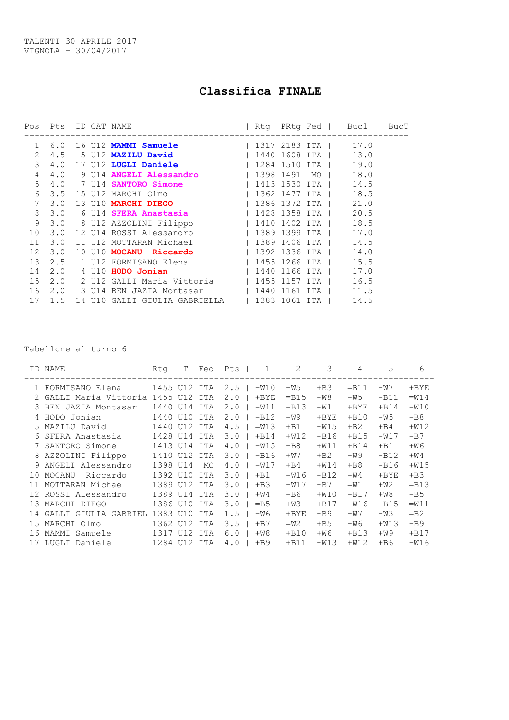## Classifica FINALE

|                        |                          |                     |  |      | BucT                                                                                                                                                                                                                                                                                                                                                                                                                                                                                                                                                                                                                                                                                                                                                                                                                                                                                              |
|------------------------|--------------------------|---------------------|--|------|---------------------------------------------------------------------------------------------------------------------------------------------------------------------------------------------------------------------------------------------------------------------------------------------------------------------------------------------------------------------------------------------------------------------------------------------------------------------------------------------------------------------------------------------------------------------------------------------------------------------------------------------------------------------------------------------------------------------------------------------------------------------------------------------------------------------------------------------------------------------------------------------------|
|                        |                          |                     |  |      |                                                                                                                                                                                                                                                                                                                                                                                                                                                                                                                                                                                                                                                                                                                                                                                                                                                                                                   |
| $\mathbf{2}$           |                          |                     |  |      |                                                                                                                                                                                                                                                                                                                                                                                                                                                                                                                                                                                                                                                                                                                                                                                                                                                                                                   |
|                        |                          |                     |  |      |                                                                                                                                                                                                                                                                                                                                                                                                                                                                                                                                                                                                                                                                                                                                                                                                                                                                                                   |
|                        |                          |                     |  | 18.0 |                                                                                                                                                                                                                                                                                                                                                                                                                                                                                                                                                                                                                                                                                                                                                                                                                                                                                                   |
|                        |                          |                     |  |      |                                                                                                                                                                                                                                                                                                                                                                                                                                                                                                                                                                                                                                                                                                                                                                                                                                                                                                   |
|                        |                          |                     |  |      |                                                                                                                                                                                                                                                                                                                                                                                                                                                                                                                                                                                                                                                                                                                                                                                                                                                                                                   |
| $7\overline{ }$<br>3.0 |                          |                     |  |      |                                                                                                                                                                                                                                                                                                                                                                                                                                                                                                                                                                                                                                                                                                                                                                                                                                                                                                   |
|                        |                          |                     |  |      |                                                                                                                                                                                                                                                                                                                                                                                                                                                                                                                                                                                                                                                                                                                                                                                                                                                                                                   |
|                        |                          |                     |  |      |                                                                                                                                                                                                                                                                                                                                                                                                                                                                                                                                                                                                                                                                                                                                                                                                                                                                                                   |
|                        |                          |                     |  |      |                                                                                                                                                                                                                                                                                                                                                                                                                                                                                                                                                                                                                                                                                                                                                                                                                                                                                                   |
| 3.0                    |                          |                     |  |      |                                                                                                                                                                                                                                                                                                                                                                                                                                                                                                                                                                                                                                                                                                                                                                                                                                                                                                   |
| 3.0                    |                          |                     |  |      |                                                                                                                                                                                                                                                                                                                                                                                                                                                                                                                                                                                                                                                                                                                                                                                                                                                                                                   |
|                        |                          |                     |  |      |                                                                                                                                                                                                                                                                                                                                                                                                                                                                                                                                                                                                                                                                                                                                                                                                                                                                                                   |
| 2.0                    |                          |                     |  |      |                                                                                                                                                                                                                                                                                                                                                                                                                                                                                                                                                                                                                                                                                                                                                                                                                                                                                                   |
|                        |                          |                     |  |      |                                                                                                                                                                                                                                                                                                                                                                                                                                                                                                                                                                                                                                                                                                                                                                                                                                                                                                   |
|                        |                          |                     |  |      |                                                                                                                                                                                                                                                                                                                                                                                                                                                                                                                                                                                                                                                                                                                                                                                                                                                                                                   |
| 1.5                    |                          |                     |  |      |                                                                                                                                                                                                                                                                                                                                                                                                                                                                                                                                                                                                                                                                                                                                                                                                                                                                                                   |
|                        | 4.0<br>3.5<br>3.0<br>2.5 | Pos Pts ID CAT NAME |  |      | Rtg PRtg Fed   Buc1<br>6.0 16 U12 MAMMI Samuele   1317 2183 ITA   17.0<br>4.5 5 U12 MAZILU David (1440 1608 ITA   13.0)<br>17 U12 LUGLI Daniele (1284 1510 ITA   19.0<br>4.0 9 U14 ANGELI Alessandro   1398 1491 MO  <br>4.0 7 U14 SANTORO Simone   1413 1530 ITA   14.5<br>15 U12 MARCHI Olmo (2008) 2362 1477 ITA (2008)<br>13 U10 MARCHI DIEGO   1386 1372 ITA   21.0<br>3.0 6 U14 SFERA Anastasia (1428 1358 ITA   20.5)<br>3.0 8 U12 AZZOLINI Filippo (1410 1402 ITA (18.5)<br>12 U14 ROSSI Alessandro (1389 1399 ITA   17.0)<br>11 U12 MOTTARAN Michael (1389 1406 ITA   14.5<br>10 U10 MOCANU Riccardo (1392 1336 ITA (14.0)<br>1 U12 FORMISANO Elena (1455 1266 ITA) 15.5<br>4 U10 HODO Jonian (1440 1166 ITA) 17.0<br>2.0 2 U12 GALLI Maria Vittoria   1455 1157 ITA   16.5<br>2.0 3 U14 BEN JAZIA Montasar 1440 1161 ITA 1 11.5<br>14 U10 GALLI GIULIA GABRIELLA   1383 1061 ITA   14.5 |

Tabellone al turno 6

|    | ID NAME                 | Rta          | T       | Fed | 1<br>Pts       | 2       | 3       | 4       | 5       | 6       |
|----|-------------------------|--------------|---------|-----|----------------|---------|---------|---------|---------|---------|
|    | 1 FORMISANO Elena       | 1455 U12 ITA |         |     | 2.5<br>$-W10$  | $-W5$   | $+B3$   | $=$ B11 | $-W7$   | $+$ BYE |
|    | GALLI Maria Vittoria    | 1455         | U12 ITA |     | 2.0<br>$+$ BYE | $=$ B15 | $-W8$   | $-W5$   | $-B11$  | $=W14$  |
| 3. | BEN JAZIA Montasar      | 1440         | U14     | ITA | 2.0<br>$-W11$  | $-B13$  | $-W1$   | $+$ BYE | $+B14$  | $-W10$  |
|    | HODO Jonian             | 1440         | U10     | ITA | 2.0<br>$-B12$  | $-W9$   | $+$ BYE | $+B10$  | $-W5$   | $-B8$   |
|    | 5 MAZILU David          | 1440         | U12     | ITA | 4.5<br>$=W13$  | $+B1$   | $-W15$  | $+B2$   | $+B4$   | $+W12$  |
| 6  | SFERA Anastasia         | 1428         | U14     | ITA | 3.0<br>$+B14$  | $+W12$  | $-B16$  | $+B15$  | $-W17$  | $-B7$   |
|    | SANTORO Simone          | 1413         | U14     | ITA | 4.0<br>$-W15$  | $-B8$   | $+W11$  | $+B14$  | $+B1$   | $+W6$   |
| 8  | AZZOLINI Filippo        | 1410         | U12     | ITA | 3.0<br>$-B16$  | $+W7$   | $+B2$   | -W9     | $-B12$  | $+W4$   |
| 9  | ANGELI Alessandro       | 1398         | U14     | MO  | 4.0<br>$-W17$  | $+B4$   | $+W14$  | $+BB$   | $-B16$  | $+W15$  |
| 10 | Riccardo<br>MOCANU      | 1392         | U10     | ITA | 3.0<br>$+B1$   | $-W16$  | $-B12$  | $-W4$   | $+$ BYE | $+B3$   |
|    | MOTTARAN Michael        | 1389         | U12     | ITA | 3.0<br>$+B3$   | $-W17$  | $-B7$   | $=W1$   | $+W2$   | $=$ B13 |
| 12 | ROSSI Alessandro        | 1389         | U14     | ITA | 3.0<br>$+W4$   | $-B6$   | $+W10$  | $-B17$  | $+W8$   | $-B5$   |
| 13 | MARCHI DIEGO            | 1386         | U10     | ITA | 3.0<br>$=$ B5  | $+W3$   | $+B17$  | $-W16$  | $-B15$  | $=W11$  |
|    | GIULIA GABRIEL<br>GALLI | 1383         | U10     | ITA | 1.5<br>$-W6$   | $+$ BYE | $-B9$   | $-W7$   | $-W3$   | $=$ B2  |
| 15 | MARCHI Olmo             | 1362         | U12     | ITA | 3.5<br>$+B7$   | $=W2$   | $+B5$   | -W6     | $+W13$  | $-B9$   |
| 16 | MAMMI<br>Samuele        | 1317         | U12     | ITA | 6.0<br>$+W8$   | $+B10$  | $+W6$   | $+B13$  | $+W9$   | $+B17$  |
|    | LUGLI Daniele           | 1284         | U12     | ITA | 4.0<br>$+B9$   | $+B11$  | $-W13$  | $+W12$  | $+ B6$  | $-W16$  |